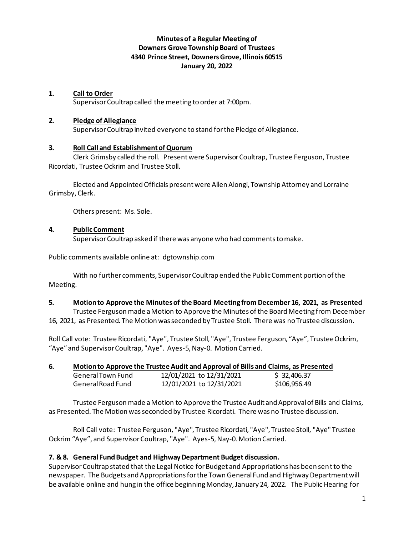## **Minutes of a Regular Meeting of Downers Grove Township Board of Trustees 4340 Prince Street, Downers Grove, Illinois 60515 January 20, 2022**

### **1. Call to Order**

Supervisor Coultrap called the meeting to order at 7:00pm.

#### **2. Pledge of Allegiance**

Supervisor Coultrap invited everyone to stand for the Pledge of Allegiance.

### **3. Roll Call and Establishment of Quorum**

Clerk Grimsby called the roll. Present were Supervisor Coultrap, Trustee Ferguson, Trustee Ricordati, Trustee Ockrim and Trustee Stoll.

Elected and Appointed Officials present were Allen Alongi, Township Attorney and Lorraine Grimsby, Clerk.

Others present: Ms. Sole.

### **4. Public Comment**

Supervisor Coultrap asked if there was anyone who had comments to make.

Public comments available online at: dgtownship.com

With no further comments, Supervisor Coultrap ended the Public Comment portion of the Meeting.

## **5. Motion to Approve the Minutes of the Board Meeting from December 16, 2021, as Presented**

Trustee Fergusonmade a Motion to Approve the Minutes of the Board Meeting from December 16, 2021, as Presented. The Motion was seconded by Trustee Stoll. There was no Trustee discussion.

Roll Call vote: Trustee Ricordati, "Aye", Trustee Stoll, "Aye", Trustee Ferguson, "Aye", Trustee Ockrim, "Aye" and Supervisor Coultrap, "Aye". Ayes-5, Nay-0. Motion Carried.

| 6. | Motion to Approve the Trustee Audit and Approval of Bills and Claims, as Presented |
|----|------------------------------------------------------------------------------------|
|    |                                                                                    |

| General Town Fund | 12/01/2021 to 12/31/2021 | \$32,406.37  |
|-------------------|--------------------------|--------------|
| General Road Fund | 12/01/2021 to 12/31/2021 | \$106,956.49 |

Trustee Fergusonmade a Motion to Approve the Trustee Audit and Approval of Bills and Claims, as Presented. The Motion was seconded by Trustee Ricordati. There was no Trustee discussion.

Roll Call vote: Trustee Ferguson, "Aye", Trustee Ricordati, "Aye", Trustee Stoll, "Aye" Trustee Ockrim "Aye", and Supervisor Coultrap, "Aye". Ayes-5, Nay-0. Motion Carried.

## **7. & 8. General Fund Budget and Highway Department Budget discussion.**

Supervisor Coultrap stated that the Legal Notice for Budget and Appropriations has been sent to the newspaper. The Budgets and Appropriations for the Town General Fund and Highway Department will be available online and hung in the office beginning Monday, January 24, 2022. The Public Hearing for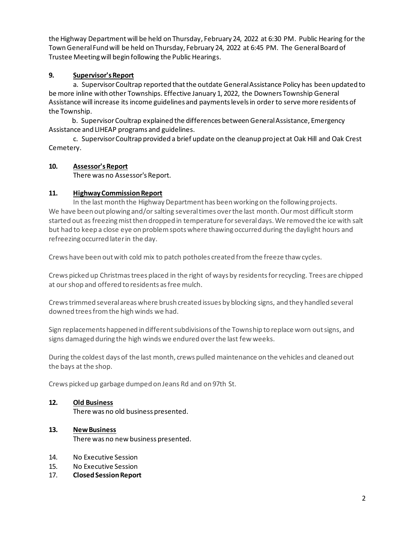the Highway Department will be held on Thursday, February 24, 2022 at 6:30 PM. Public Hearing for the Town General Fund will be held on Thursday, February 24, 2022 at 6:45 PM. The General Board of Trustee Meeting will begin following the Public Hearings.

## **9. Supervisor's Report**

a. Supervisor Coultrap reported that the outdate General Assistance Policy has been updated to be more inline with other Townships. Effective January 1, 2022, the Downers Township General Assistance will increase its income guidelines and payments levels in order to serve more residents of the Township.

 b. Supervisor Coultrap explained the differences between General Assistance, Emergency Assistance and LIHEAP programs and guidelines.

c. Supervisor Coultrap provided a brief update on the cleanup project at Oak Hill and Oak Crest Cemetery.

## **10. Assessor's Report**

There was no Assessor's Report.

## **11. Highway Commission Report**

In the last month the Highway Department has been working on the following projects. We have been out plowing and/or salting several times over the last month. Our most difficult storm started out as freezing mist then dropped in temperature for several days. We removed the ice with salt but had to keep a close eye on problem spots where thawing occurred during the daylight hours and refreezing occurred later in the day.

Crews have been out with cold mix to patch potholes created from the freeze thaw cycles.

Crews picked up Christmas trees placed in the right of ways by residents for recycling. Trees are chipped at our shop and offered to residents as free mulch.

Crews trimmed several areas where brush created issues by blocking signs, and they handled several downed trees from the high winds we had.

Sign replacements happened in different subdivisions of the Township to replace worn out signs, and signs damaged during the high winds we endured over the last few weeks.

During the coldest days of the last month, crews pulled maintenance on the vehicles and cleaned out the bays at the shop.

Crews picked up garbage dumped on Jeans Rd and on 97th St.

## **12. Old Business**

There was no old business presented.

# **13. New Business**

There was no new business presented.

- 14. No Executive Session
- 15. No Executive Session
- 17. **Closed Session Report**